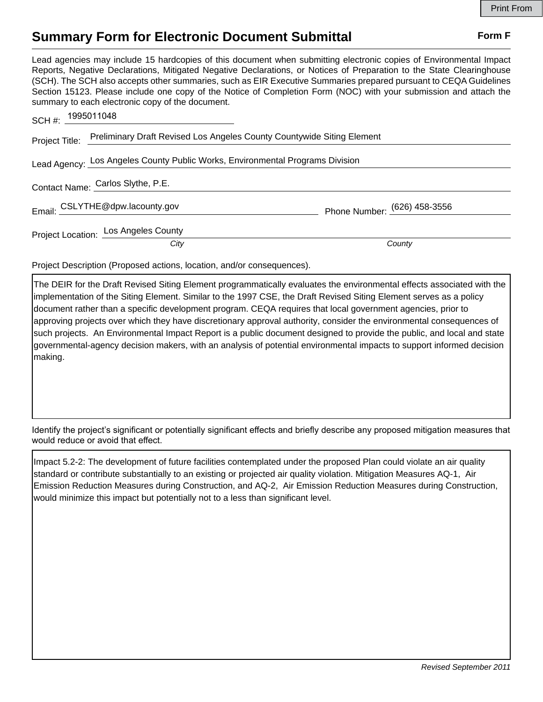## **Summary Form for Electronic Document Submittal Form F Form F**

Lead agencies may include 15 hardcopies of this document when submitting electronic copies of Environmental Impact Reports, Negative Declarations, Mitigated Negative Declarations, or Notices of Preparation to the State Clearinghouse (SCH). The SCH also accepts other summaries, such as EIR Executive Summaries prepared pursuant to CEQA Guidelines Section 15123. Please include one copy of the Notice of Completion Form (NOC) with your submission and attach the summary to each electronic copy of the document.

| SCH #: $1995011048$                                                           |                                                                                       |                              |
|-------------------------------------------------------------------------------|---------------------------------------------------------------------------------------|------------------------------|
|                                                                               | Project Title: Preliminary Draft Revised Los Angeles County Countywide Siting Element |                              |
| Lead Agency: Los Angeles County Public Works, Environmental Programs Division |                                                                                       |                              |
|                                                                               | Contact Name: Carlos Slythe, P.E.                                                     |                              |
|                                                                               | Email: CSLYTHE@dpw.lacounty.gov                                                       | Phone Number: (626) 458-3556 |
|                                                                               | Project Location: Los Angeles County<br>City                                          | County                       |
|                                                                               |                                                                                       |                              |

Project Description (Proposed actions, location, and/or consequences).

The DEIR for the Draft Revised Siting Element programmatically evaluates the environmental effects associated with the implementation of the Siting Element. Similar to the 1997 CSE, the Draft Revised Siting Element serves as a policy document rather than a specific development program. CEQA requires that local government agencies, prior to approving projects over which they have discretionary approval authority, consider the environmental consequences of such projects. An Environmental Impact Report is a public document designed to provide the public, and local and state governmental-agency decision makers, with an analysis of potential environmental impacts to support informed decision making.

Identify the project's significant or potentially significant effects and briefly describe any proposed mitigation measures that would reduce or avoid that effect.

Impact 5.2-2: The development of future facilities contemplated under the proposed Plan could violate an air quality standard or contribute substantially to an existing or projected air quality violation. Mitigation Measures AQ-1, Air Emission Reduction Measures during Construction, and AQ-2, Air Emission Reduction Measures during Construction, would minimize this impact but potentially not to a less than significant level.